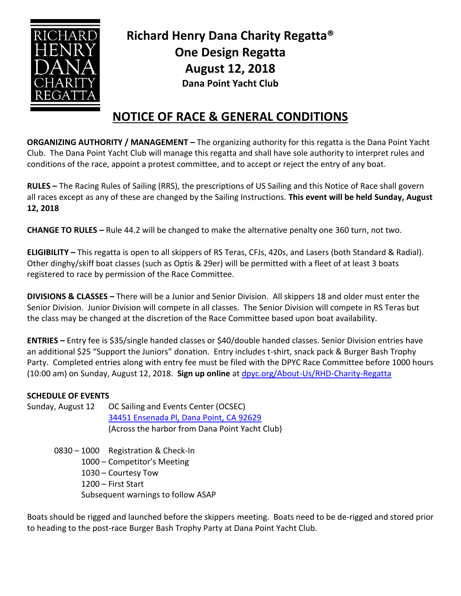

**Richard Henry Dana Charity Regatta® One Design Regatta August 12, 2018 Dana Point Yacht Club**

## **NOTICE OF RACE & GENERAL CONDITIONS**

**ORGANIZING AUTHORITY / MANAGEMENT –** The organizing authority for this regatta is the Dana Point Yacht Club. The Dana Point Yacht Club will manage this regatta and shall have sole authority to interpret rules and conditions of the race, appoint a protest committee, and to accept or reject the entry of any boat.

**RULES –** The Racing Rules of Sailing (RRS), the prescriptions of US Sailing and this Notice of Race shall govern all races except as any of these are changed by the Sailing Instructions. **This event will be held Sunday, August 12, 2018**

**CHANGE TO RULES –** Rule 44.2 will be changed to make the alternative penalty one 360 turn, not two.

**ELIGIBILITY –** This regatta is open to all skippers of RS Teras, CFJs, 420s, and Lasers (both Standard & Radial). Other dinghy/skiff boat classes (such as Optis & 29er) will be permitted with a fleet of at least 3 boats registered to race by permission of the Race Committee.

**DIVISIONS & CLASSES –** There will be a Junior and Senior Division. All skippers 18 and older must enter the Senior Division. Junior Division will compete in all classes. The Senior Division will compete in RS Teras but the class may be changed at the discretion of the Race Committee based upon boat availability.

**ENTRIES –** Entry fee is \$35/single handed classes or \$40/double handed classes. Senior Division entries have an additional \$25 "Support the Juniors" donation. Entry includes t-shirt, snack pack & Burger Bash Trophy Party. Completed entries along with entry fee must be filed with the DPYC Race Committee before 1000 hours (10:00 am) on Sunday, August 12, 2018. **Sign up online** at [dpyc.org/About-Us/RHD-Charity-Regatta](http://dpyc.org/About-Us/RHD-Charity-Regatta)

## **SCHEDULE OF EVENTS**

Sunday, August 12 OC Sailing and Events Center (OCSEC) [34451 Ensenada Pl, Dana Point, CA 92629](https://goo.gl/maps/Wz6dFd6n5XT2) (Across the harbor from Dana Point Yacht Club)

> – 1000 Registration & Check-In – Competitor's Meeting – Courtesy Tow – First Start Subsequent warnings to follow ASAP

Boats should be rigged and launched before the skippers meeting. Boats need to be de-rigged and stored prior to heading to the post-race Burger Bash Trophy Party at Dana Point Yacht Club.